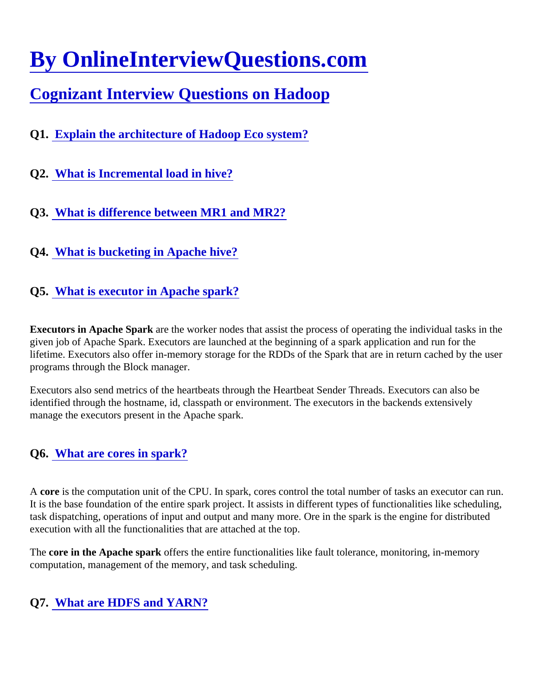# [By OnlineInterviewQuestions.com](https://www.onlineinterviewquestions.com/)

# [Cognizant Interview Questions on Hadoo](https://www.onlineinterviewquestions.com/cognizant-hadoop-interview-questions/)p

- Q1. [Explain the architecture of Hadoop Eco system](https://www.onlineinterviewquestions.com/explain-the-architecture-of-hadoop-eco-system/)?
- Q2. [What is Incremental load in hive?](https://www.onlineinterviewquestions.com/what-is-incremental-load-in-hive/)
- Q3. [What is difference between MR1 and MR2?](https://www.onlineinterviewquestions.com/what-is-difference-between-mr1-and-mr2/)
- Q4. [What is bucketing in Apache hive?](https://www.onlineinterviewquestions.com/what-is-bucketing-in-apache-hive/)
- Q5. [What is executor in Apache spark?](https://www.onlineinterviewquestions.com/what-is-executor-in-apache-spark/)

Executors in Apache Sparkare the worker nodes that assist the process of operating the individual tasks in the given job of Apache Spark. Executors are launched at the beginning of a spark application and run for the lifetime. Executors also offer in-memory storage for the RDDs of the Spark that are in return cached by the us programs through the Block manager.

Executors also send metrics of the heartbeats through the Heartbeat Sender Threads. Executors can also be identified through the hostname, id, classpath or environment. The executors in the backends extensively manage the executors present in the Apache spark.

## Q6. [What are cores in spark?](https://www.onlineinterviewquestions.com/what-are-cores-in-spark/)

A core is the computation unit of the CPU. In spark, cores control the total number of tasks an executor can ru It is the base foundation of the entire spark project. It assists in different types of functionalities like scheduling task dispatching, operations of input and output and many more. Ore in the spark is the engine for distributed execution with all the functionalities that are attached at the top.

The core in the Apache spark offers the entire functionalities like fault tolerance, monitoring, in-memory computation, management of the memory, and task scheduling.

## Q7. [What are HDFS and YARN?](https://www.onlineinterviewquestions.com/what-are-hdfs-and-yarn/)